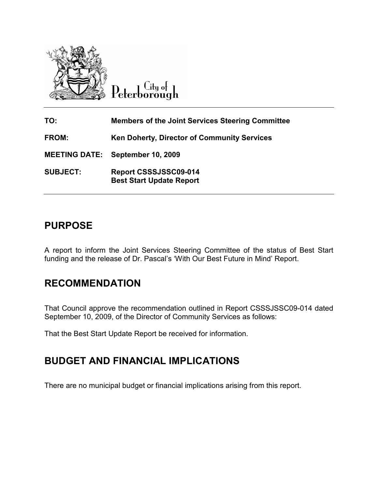

Peterborough

| TO:             | <b>Members of the Joint Services Steering Committee</b>  |
|-----------------|----------------------------------------------------------|
| <b>FROM:</b>    | <b>Ken Doherty, Director of Community Services</b>       |
|                 | <b>MEETING DATE: September 10, 2009</b>                  |
| <b>SUBJECT:</b> | Report CSSSJSSC09-014<br><b>Best Start Update Report</b> |

## PURPOSE

A report to inform the Joint Services Steering Committee of the status of Best Start funding and the release of Dr. Pascal's 'With Our Best Future in Mind' Report.

## RECOMMENDATION

That Council approve the recommendation outlined in Report CSSSJSSC09-014 dated September 10, 2009, of the Director of Community Services as follows:

That the Best Start Update Report be received for information.

# BUDGET AND FINANCIAL IMPLICATIONS

There are no municipal budget or financial implications arising from this report.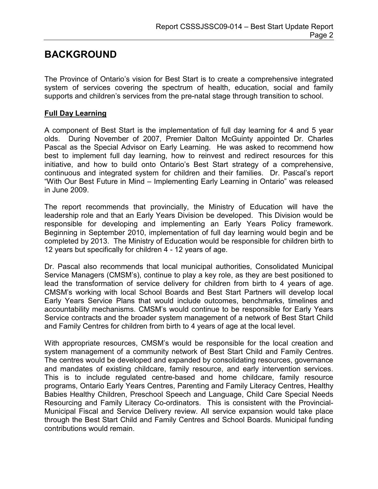## BACKGROUND

The Province of Ontario's vision for Best Start is to create a comprehensive integrated system of services covering the spectrum of health, education, social and family supports and children's services from the pre-natal stage through transition to school.

### Full Day Learning

A component of Best Start is the implementation of full day learning for 4 and 5 year olds. During November of 2007, Premier Dalton McGuinty appointed Dr. Charles Pascal as the Special Advisor on Early Learning. He was asked to recommend how best to implement full day learning, how to reinvest and redirect resources for this initiative, and how to build onto Ontario's Best Start strategy of a comprehensive, continuous and integrated system for children and their families. Dr. Pascal's report "With Our Best Future in Mind – Implementing Early Learning in Ontario" was released in June 2009.

The report recommends that provincially, the Ministry of Education will have the leadership role and that an Early Years Division be developed. This Division would be responsible for developing and implementing an Early Years Policy framework. Beginning in September 2010, implementation of full day learning would begin and be completed by 2013. The Ministry of Education would be responsible for children birth to 12 years but specifically for children 4 - 12 years of age.

Dr. Pascal also recommends that local municipal authorities, Consolidated Municipal Service Managers (CMSM's), continue to play a key role, as they are best positioned to lead the transformation of service delivery for children from birth to 4 years of age. CMSM's working with local School Boards and Best Start Partners will develop local Early Years Service Plans that would include outcomes, benchmarks, timelines and accountability mechanisms. CMSM's would continue to be responsible for Early Years Service contracts and the broader system management of a network of Best Start Child and Family Centres for children from birth to 4 years of age at the local level.

With appropriate resources, CMSM's would be responsible for the local creation and system management of a community network of Best Start Child and Family Centres. The centres would be developed and expanded by consolidating resources, governance and mandates of existing childcare, family resource, and early intervention services. This is to include regulated centre-based and home childcare, family resource programs, Ontario Early Years Centres, Parenting and Family Literacy Centres, Healthy Babies Healthy Children, Preschool Speech and Language, Child Care Special Needs Resourcing and Family Literacy Co-ordinators. This is consistent with the Provincial-Municipal Fiscal and Service Delivery review. All service expansion would take place through the Best Start Child and Family Centres and School Boards. Municipal funding contributions would remain.